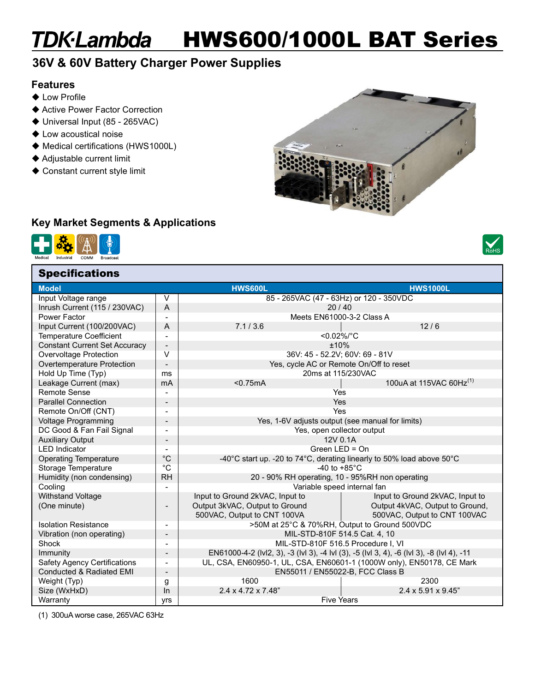## TDK-Lambda HWS600/1000L BAT Series

### 36V & 60V Battery Charger Power Supplies

#### Features

- $\blacklozenge$  Low Profile
- Active Power Factor Correction
- ◆ Universal Input (85 265VAC)
- Low acoustical noise
- ♦ Medical certifications (HWS1000L)
- Adjustable current limit
- ◆ Constant current style limit



#### Key Market Segments & Applications



**Specifications** 



| Uptunualivnə                         |                          |                                                                                           |                                 |  |  |  |
|--------------------------------------|--------------------------|-------------------------------------------------------------------------------------------|---------------------------------|--|--|--|
| <b>Model</b>                         |                          | <b>HWS600L</b>                                                                            | <b>HWS1000L</b>                 |  |  |  |
| Input Voltage range                  | $\vee$                   | 85 - 265VAC (47 - 63Hz) or 120 - 350VDC                                                   |                                 |  |  |  |
| Inrush Current (115 / 230VAC)        | A                        | 20/40                                                                                     |                                 |  |  |  |
| Power Factor                         |                          | Meets EN61000-3-2 Class A                                                                 |                                 |  |  |  |
| Input Current (100/200VAC)           | A                        | 12/6<br>7.1 / 3.6                                                                         |                                 |  |  |  |
| Temperature Coefficient              |                          | <0.02%/°C                                                                                 |                                 |  |  |  |
| <b>Constant Current Set Accuracy</b> |                          | ±10%                                                                                      |                                 |  |  |  |
| Overvoltage Protection               | $\vee$                   | 36V: 45 - 52.2V; 60V: 69 - 81V                                                            |                                 |  |  |  |
| Overtemperature Protection           |                          | Yes, cycle AC or Remote On/Off to reset                                                   |                                 |  |  |  |
| Hold Up Time (Typ)                   | ms                       | 20ms at 115/230VAC                                                                        |                                 |  |  |  |
| Leakage Current (max)                | mA                       | 100uA at 115VAC 60Hz <sup>(1)</sup><br>< 0.75mA                                           |                                 |  |  |  |
| Remote Sense                         | $\overline{a}$           | Yes                                                                                       |                                 |  |  |  |
| <b>Parallel Connection</b>           | $\overline{\phantom{a}}$ | Yes                                                                                       |                                 |  |  |  |
| Remote On/Off (CNT)                  | $\blacksquare$           | Yes                                                                                       |                                 |  |  |  |
| <b>Voltage Programming</b>           |                          | Yes, 1-6V adjusts output (see manual for limits)                                          |                                 |  |  |  |
| DC Good & Fan Fail Signal            |                          | Yes, open collector output                                                                |                                 |  |  |  |
| <b>Auxiliary Output</b>              | $\blacksquare$           | 12V 0.1A                                                                                  |                                 |  |  |  |
| <b>LED</b> Indicator                 |                          | Green LED = On                                                                            |                                 |  |  |  |
| <b>Operating Temperature</b>         | $^{\circ}C$              | -40°C start up. -20 to 74°C, derating linearly to 50% load above 50°C                     |                                 |  |  |  |
| Storage Temperature                  | °C                       | -40 to $+85^{\circ}$ C                                                                    |                                 |  |  |  |
| Humidity (non condensing)            | <b>RH</b>                | 20 - 90% RH operating, 10 - 95%RH non operating                                           |                                 |  |  |  |
| Cooling                              |                          | Variable speed internal fan                                                               |                                 |  |  |  |
| <b>Withstand Voltage</b>             |                          | Input to Ground 2kVAC, Input to                                                           | Input to Ground 2kVAC, Input to |  |  |  |
| (One minute)                         |                          | Output 3kVAC, Output to Ground                                                            | Output 4kVAC, Output to Ground, |  |  |  |
|                                      |                          | 500VAC, Output to CNT 100VA                                                               | 500VAC, Output to CNT 100VAC    |  |  |  |
| <b>Isolation Resistance</b>          | $\overline{\phantom{a}}$ | >50M at 25°C & 70%RH, Output to Ground 500VDC                                             |                                 |  |  |  |
| Vibration (non operating)            |                          | MIL-STD-810F 514.5 Cat. 4, 10                                                             |                                 |  |  |  |
| Shock                                |                          | MIL-STD-810F 516.5 Procedure I. VI                                                        |                                 |  |  |  |
| Immunity                             |                          | EN61000-4-2 (IvI2, 3), -3 (IvI 3), -4 IvI (3), -5 (IvI 3, 4), -6 (IvI 3), -8 (IvI 4), -11 |                                 |  |  |  |
| <b>Safety Agency Certifications</b>  | $\overline{\phantom{a}}$ | UL, CSA, EN60950-1, UL, CSA, EN60601-1 (1000W only), EN50178, CE Mark                     |                                 |  |  |  |
| <b>Conducted &amp; Radiated EMI</b>  |                          | EN55011 / EN55022-B, FCC Class B                                                          |                                 |  |  |  |
| Weight (Typ)                         | g                        | 1600                                                                                      | 2300                            |  |  |  |
| Size (WxHxD)                         | ln                       | $2.4 \times 4.72 \times 7.48$ "                                                           | 2.4 x 5.91 x 9.45"              |  |  |  |
| Warranty                             | yrs                      | <b>Five Years</b>                                                                         |                                 |  |  |  |

(1) 300uA worse case, 265VAC 63Hz